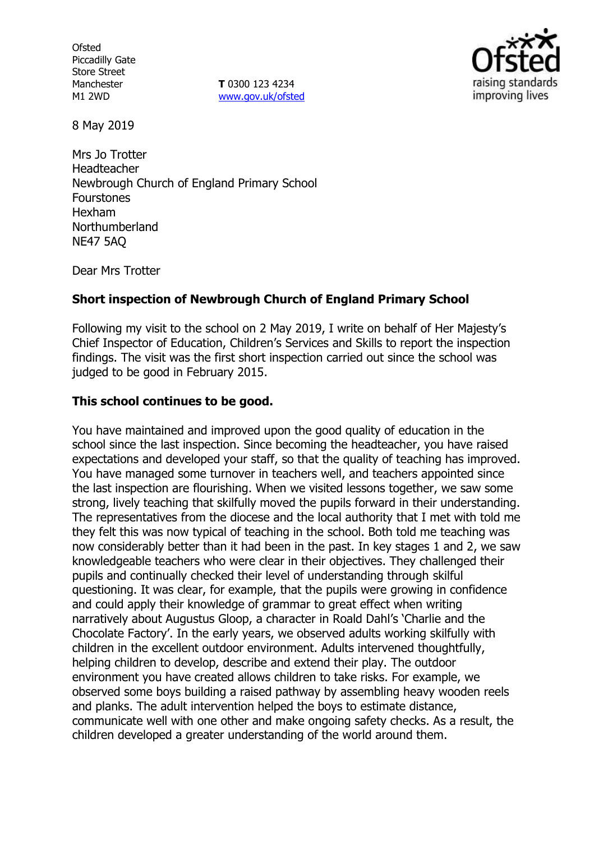**Ofsted** Piccadilly Gate Store Street Manchester M1 2WD

**T** 0300 123 4234 [www.gov.uk/ofsted](http://www.gov.uk/ofsted)



8 May 2019

Mrs Jo Trotter Headteacher Newbrough Church of England Primary School **Fourstones** Hexham Northumberland NE47 5AQ

Dear Mrs Trotter

## **Short inspection of Newbrough Church of England Primary School**

Following my visit to the school on 2 May 2019, I write on behalf of Her Majesty's Chief Inspector of Education, Children's Services and Skills to report the inspection findings. The visit was the first short inspection carried out since the school was judged to be good in February 2015.

## **This school continues to be good.**

You have maintained and improved upon the good quality of education in the school since the last inspection. Since becoming the headteacher, you have raised expectations and developed your staff, so that the quality of teaching has improved. You have managed some turnover in teachers well, and teachers appointed since the last inspection are flourishing. When we visited lessons together, we saw some strong, lively teaching that skilfully moved the pupils forward in their understanding. The representatives from the diocese and the local authority that I met with told me they felt this was now typical of teaching in the school. Both told me teaching was now considerably better than it had been in the past. In key stages 1 and 2, we saw knowledgeable teachers who were clear in their objectives. They challenged their pupils and continually checked their level of understanding through skilful questioning. It was clear, for example, that the pupils were growing in confidence and could apply their knowledge of grammar to great effect when writing narratively about Augustus Gloop, a character in Roald Dahl's 'Charlie and the Chocolate Factory'. In the early years, we observed adults working skilfully with children in the excellent outdoor environment. Adults intervened thoughtfully, helping children to develop, describe and extend their play. The outdoor environment you have created allows children to take risks. For example, we observed some boys building a raised pathway by assembling heavy wooden reels and planks. The adult intervention helped the boys to estimate distance, communicate well with one other and make ongoing safety checks. As a result, the children developed a greater understanding of the world around them.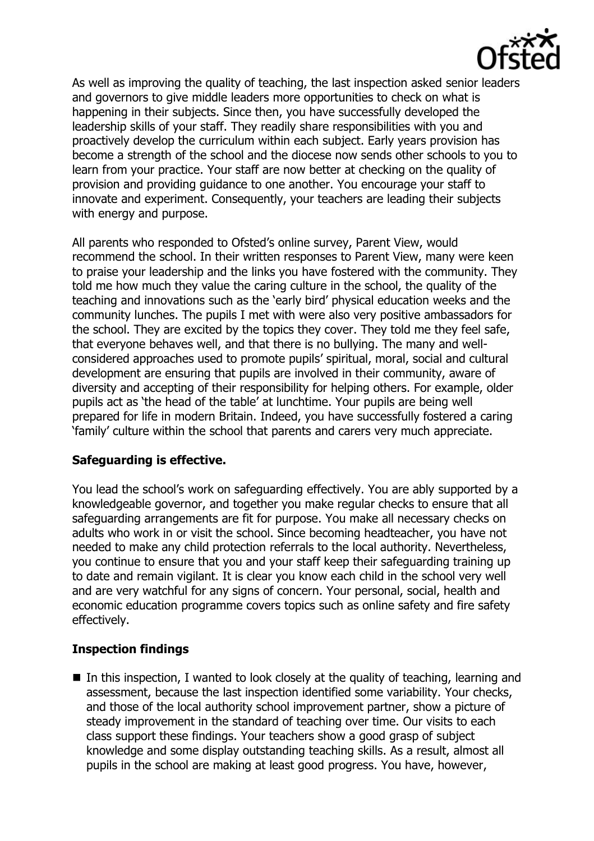

As well as improving the quality of teaching, the last inspection asked senior leaders and governors to give middle leaders more opportunities to check on what is happening in their subjects. Since then, you have successfully developed the leadership skills of your staff. They readily share responsibilities with you and proactively develop the curriculum within each subject. Early years provision has become a strength of the school and the diocese now sends other schools to you to learn from your practice. Your staff are now better at checking on the quality of provision and providing guidance to one another. You encourage your staff to innovate and experiment. Consequently, your teachers are leading their subjects with energy and purpose.

All parents who responded to Ofsted's online survey, Parent View, would recommend the school. In their written responses to Parent View, many were keen to praise your leadership and the links you have fostered with the community. They told me how much they value the caring culture in the school, the quality of the teaching and innovations such as the 'early bird' physical education weeks and the community lunches. The pupils I met with were also very positive ambassadors for the school. They are excited by the topics they cover. They told me they feel safe, that everyone behaves well, and that there is no bullying. The many and wellconsidered approaches used to promote pupils' spiritual, moral, social and cultural development are ensuring that pupils are involved in their community, aware of diversity and accepting of their responsibility for helping others. For example, older pupils act as 'the head of the table' at lunchtime. Your pupils are being well prepared for life in modern Britain. Indeed, you have successfully fostered a caring 'family' culture within the school that parents and carers very much appreciate.

# **Safeguarding is effective.**

You lead the school's work on safeguarding effectively. You are ably supported by a knowledgeable governor, and together you make regular checks to ensure that all safeguarding arrangements are fit for purpose. You make all necessary checks on adults who work in or visit the school. Since becoming headteacher, you have not needed to make any child protection referrals to the local authority. Nevertheless, you continue to ensure that you and your staff keep their safeguarding training up to date and remain vigilant. It is clear you know each child in the school very well and are very watchful for any signs of concern. Your personal, social, health and economic education programme covers topics such as online safety and fire safety effectively.

# **Inspection findings**

 $\blacksquare$  In this inspection, I wanted to look closely at the quality of teaching, learning and assessment, because the last inspection identified some variability. Your checks, and those of the local authority school improvement partner, show a picture of steady improvement in the standard of teaching over time. Our visits to each class support these findings. Your teachers show a good grasp of subject knowledge and some display outstanding teaching skills. As a result, almost all pupils in the school are making at least good progress. You have, however,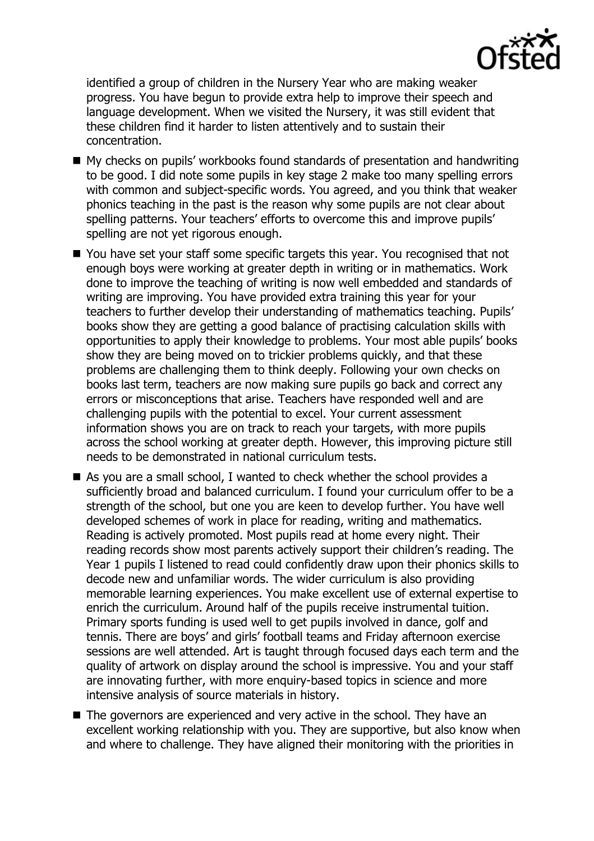

identified a group of children in the Nursery Year who are making weaker progress. You have begun to provide extra help to improve their speech and language development. When we visited the Nursery, it was still evident that these children find it harder to listen attentively and to sustain their concentration.

- My checks on pupils' workbooks found standards of presentation and handwriting to be good. I did note some pupils in key stage 2 make too many spelling errors with common and subject-specific words. You agreed, and you think that weaker phonics teaching in the past is the reason why some pupils are not clear about spelling patterns. Your teachers' efforts to overcome this and improve pupils' spelling are not yet rigorous enough.
- You have set your staff some specific targets this year. You recognised that not enough boys were working at greater depth in writing or in mathematics. Work done to improve the teaching of writing is now well embedded and standards of writing are improving. You have provided extra training this year for your teachers to further develop their understanding of mathematics teaching. Pupils' books show they are getting a good balance of practising calculation skills with opportunities to apply their knowledge to problems. Your most able pupils' books show they are being moved on to trickier problems quickly, and that these problems are challenging them to think deeply. Following your own checks on books last term, teachers are now making sure pupils go back and correct any errors or misconceptions that arise. Teachers have responded well and are challenging pupils with the potential to excel. Your current assessment information shows you are on track to reach your targets, with more pupils across the school working at greater depth. However, this improving picture still needs to be demonstrated in national curriculum tests.
- As you are a small school, I wanted to check whether the school provides a sufficiently broad and balanced curriculum. I found your curriculum offer to be a strength of the school, but one you are keen to develop further. You have well developed schemes of work in place for reading, writing and mathematics. Reading is actively promoted. Most pupils read at home every night. Their reading records show most parents actively support their children's reading. The Year 1 pupils I listened to read could confidently draw upon their phonics skills to decode new and unfamiliar words. The wider curriculum is also providing memorable learning experiences. You make excellent use of external expertise to enrich the curriculum. Around half of the pupils receive instrumental tuition. Primary sports funding is used well to get pupils involved in dance, golf and tennis. There are boys' and girls' football teams and Friday afternoon exercise sessions are well attended. Art is taught through focused days each term and the quality of artwork on display around the school is impressive. You and your staff are innovating further, with more enquiry-based topics in science and more intensive analysis of source materials in history.
- The governors are experienced and very active in the school. They have an excellent working relationship with you. They are supportive, but also know when and where to challenge. They have aligned their monitoring with the priorities in